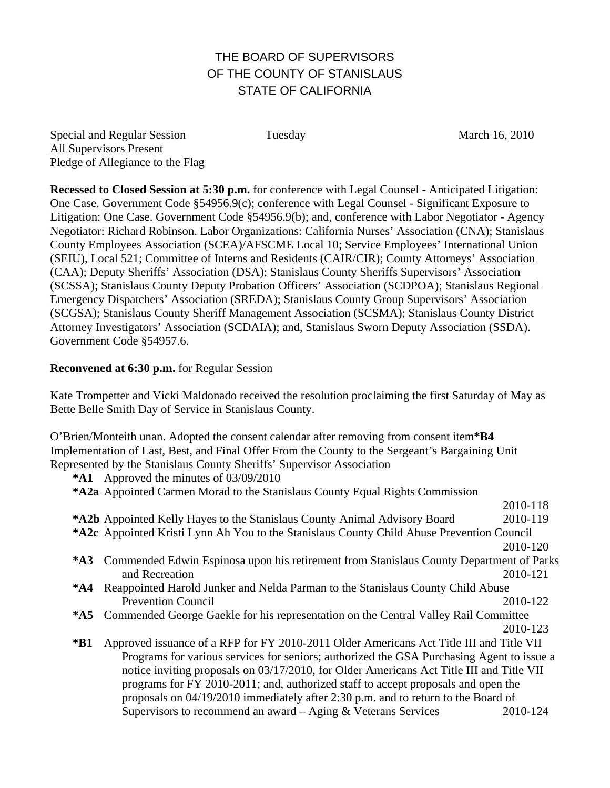## THE BOARD OF SUPERVISORS OF THE COUNTY OF STANISLAUS STATE OF CALIFORNIA

Special and Regular Session Tuesday March 16, 2010 All Supervisors Present Pledge of Allegiance to the Flag

**Recessed to Closed Session at 5:30 p.m.** for conference with Legal Counsel - Anticipated Litigation: One Case. Government Code §54956.9(c); conference with Legal Counsel - Significant Exposure to Litigation: One Case. Government Code §54956.9(b); and, conference with Labor Negotiator - Agency Negotiator: Richard Robinson. Labor Organizations: California Nurses' Association (CNA); Stanislaus County Employees Association (SCEA)/AFSCME Local 10; Service Employees' International Union (SEIU), Local 521; Committee of Interns and Residents (CAIR/CIR); County Attorneys' Association (CAA); Deputy Sheriffs' Association (DSA); Stanislaus County Sheriffs Supervisors' Association (SCSSA); Stanislaus County Deputy Probation Officers' Association (SCDPOA); Stanislaus Regional Emergency Dispatchers' Association (SREDA); Stanislaus County Group Supervisors' Association (SCGSA); Stanislaus County Sheriff Management Association (SCSMA); Stanislaus County District Attorney Investigators' Association (SCDAIA); and, Stanislaus Sworn Deputy Association (SSDA). Government Code §54957.6.

## **Reconvened at 6:30 p.m.** for Regular Session

Kate Trompetter and Vicki Maldonado received the resolution proclaiming the first Saturday of May as Bette Belle Smith Day of Service in Stanislaus County.

O'Brien/Monteith unan. Adopted the consent calendar after removing from consent item**\*B4**  Implementation of Last, Best, and Final Offer From the County to the Sergeant's Bargaining Unit Represented by the Stanislaus County Sheriffs' Supervisor Association

**\*A1** Approved the minutes of 03/09/2010

| *A2a Appointed Carmen Morad to the Stanislaus County Equal Rights Commission                     |                                                                                           |                                                                                             |  |
|--------------------------------------------------------------------------------------------------|-------------------------------------------------------------------------------------------|---------------------------------------------------------------------------------------------|--|
|                                                                                                  |                                                                                           | 2010-118                                                                                    |  |
|                                                                                                  | <b>*A2b</b> Appointed Kelly Hayes to the Stanislaus County Animal Advisory Board          | 2010-119                                                                                    |  |
| <b>*A2c</b> Appointed Kristi Lynn Ah You to the Stanislaus County Child Abuse Prevention Council |                                                                                           |                                                                                             |  |
|                                                                                                  |                                                                                           | 2010-120                                                                                    |  |
|                                                                                                  |                                                                                           | *A3 Commended Edwin Espinosa upon his retirement from Stanislaus County Department of Parks |  |
|                                                                                                  | and Recreation                                                                            | 2010-121                                                                                    |  |
| $^*AA$                                                                                           | Reappointed Harold Junker and Nelda Parman to the Stanislaus County Child Abuse           |                                                                                             |  |
|                                                                                                  | <b>Prevention Council</b>                                                                 | 2010-122                                                                                    |  |
|                                                                                                  | *A5 Commended George Gaekle for his representation on the Central Valley Rail Committee   |                                                                                             |  |
|                                                                                                  |                                                                                           | 2010-123                                                                                    |  |
| $*B1$                                                                                            | Approved issuance of a RFP for FY 2010-2011 Older Americans Act Title III and Title VII   |                                                                                             |  |
|                                                                                                  | Programs for various services for seniors; authorized the GSA Purchasing Agent to issue a |                                                                                             |  |
|                                                                                                  | notice inviting proposals on 03/17/2010, for Older Americans Act Title III and Title VII  |                                                                                             |  |
|                                                                                                  | programs for FY 2010-2011; and, authorized staff to accept proposals and open the         |                                                                                             |  |
|                                                                                                  | proposals on 04/19/2010 immediately after 2:30 p.m. and to return to the Board of         |                                                                                             |  |
|                                                                                                  | Supervisors to recommend an award $-$ Aging & Veterans Services                           | 2010-124                                                                                    |  |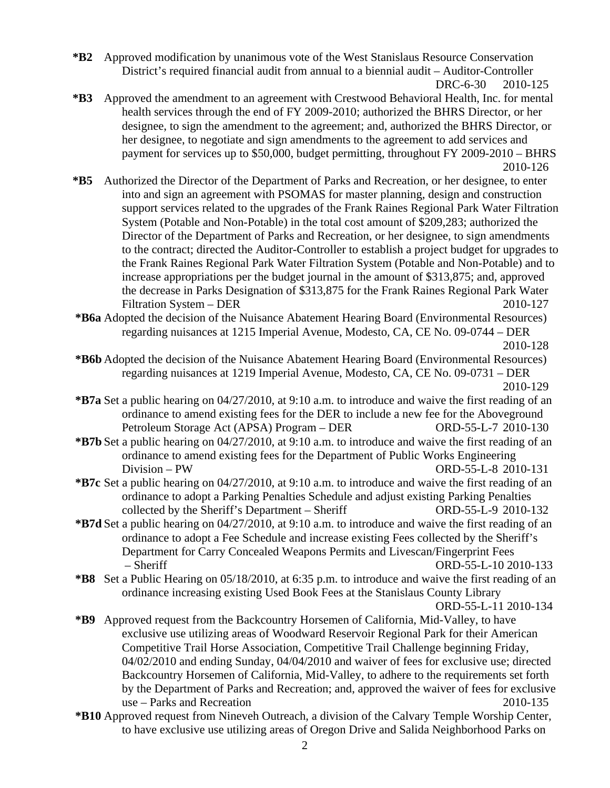**\*B2** Approved modification by unanimous vote of the West Stanislaus Resource Conservation District's required financial audit from annual to a biennial audit – Auditor-Controller DRC-6-30 2010-125

- **\*B3** Approved the amendment to an agreement with Crestwood Behavioral Health, Inc. for mental health services through the end of FY 2009-2010; authorized the BHRS Director, or her designee, to sign the amendment to the agreement; and, authorized the BHRS Director, or her designee, to negotiate and sign amendments to the agreement to add services and payment for services up to \$50,000, budget permitting, throughout FY 2009-2010 – BHRS 2010-126
- **\*B5** Authorized the Director of the Department of Parks and Recreation, or her designee, to enter into and sign an agreement with PSOMAS for master planning, design and construction support services related to the upgrades of the Frank Raines Regional Park Water Filtration System (Potable and Non-Potable) in the total cost amount of \$209,283; authorized the Director of the Department of Parks and Recreation, or her designee, to sign amendments to the contract; directed the Auditor-Controller to establish a project budget for upgrades to the Frank Raines Regional Park Water Filtration System (Potable and Non-Potable) and to increase appropriations per the budget journal in the amount of \$313,875; and, approved the decrease in Parks Designation of \$313,875 for the Frank Raines Regional Park Water Filtration System – DER 2010-127

**\*B6a** Adopted the decision of the Nuisance Abatement Hearing Board (Environmental Resources) regarding nuisances at 1215 Imperial Avenue, Modesto, CA, CE No. 09-0744 – DER 2010-128

- **\*B6b** Adopted the decision of the Nuisance Abatement Hearing Board (Environmental Resources) regarding nuisances at 1219 Imperial Avenue, Modesto, CA, CE No. 09-0731 – DER 2010-129
- **\*B7a** Set a public hearing on 04/27/2010, at 9:10 a.m. to introduce and waive the first reading of an ordinance to amend existing fees for the DER to include a new fee for the Aboveground Petroleum Storage Act (APSA) Program – DER ORD-55-L-7 2010-130
- **\*B7b** Set a public hearing on 04/27/2010, at 9:10 a.m. to introduce and waive the first reading of an ordinance to amend existing fees for the Department of Public Works Engineering Division – PW ORD-55-L-8 2010-131
- **\*B7c** Set a public hearing on 04/27/2010, at 9:10 a.m. to introduce and waive the first reading of an ordinance to adopt a Parking Penalties Schedule and adjust existing Parking Penalties collected by the Sheriff's Department – Sheriff ORD-55-L-9 2010-132
- **\*B7d** Set a public hearing on 04/27/2010, at 9:10 a.m. to introduce and waive the first reading of an ordinance to adopt a Fee Schedule and increase existing Fees collected by the Sheriff's Department for Carry Concealed Weapons Permits and Livescan/Fingerprint Fees – Sheriff ORD-55-L-10 2010-133
- **\*B8** Set a Public Hearing on 05/18/2010, at 6:35 p.m. to introduce and waive the first reading of an ordinance increasing existing Used Book Fees at the Stanislaus County Library

ORD-55-L-11 2010-134

- **\*B9** Approved request from the Backcountry Horsemen of California, Mid-Valley, to have exclusive use utilizing areas of Woodward Reservoir Regional Park for their American Competitive Trail Horse Association, Competitive Trail Challenge beginning Friday, 04/02/2010 and ending Sunday, 04/04/2010 and waiver of fees for exclusive use; directed Backcountry Horsemen of California, Mid-Valley, to adhere to the requirements set forth by the Department of Parks and Recreation; and, approved the waiver of fees for exclusive use – Parks and Recreation 2010-135
- **\*B10** Approved request from Nineveh Outreach, a division of the Calvary Temple Worship Center, to have exclusive use utilizing areas of Oregon Drive and Salida Neighborhood Parks on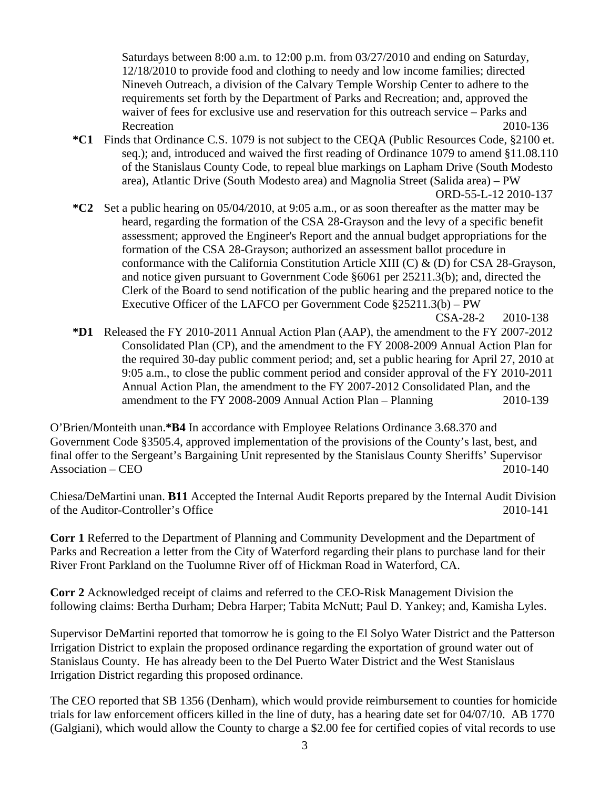Saturdays between 8:00 a.m. to 12:00 p.m. from 03/27/2010 and ending on Saturday, 12/18/2010 to provide food and clothing to needy and low income families; directed Nineveh Outreach, a division of the Calvary Temple Worship Center to adhere to the requirements set forth by the Department of Parks and Recreation; and, approved the waiver of fees for exclusive use and reservation for this outreach service – Parks and Recreation 2010-136

- **\*C1** Finds that Ordinance C.S. 1079 is not subject to the CEQA (Public Resources Code, §2100 et. seq.); and, introduced and waived the first reading of Ordinance 1079 to amend §11.08.110 of the Stanislaus County Code, to repeal blue markings on Lapham Drive (South Modesto area), Atlantic Drive (South Modesto area) and Magnolia Street (Salida area) – PW ORD-55-L-12 2010-137
- **\*C2** Set a public hearing on 05/04/2010, at 9:05 a.m., or as soon thereafter as the matter may be heard, regarding the formation of the CSA 28-Grayson and the levy of a specific benefit assessment; approved the Engineer's Report and the annual budget appropriations for the formation of the CSA 28-Grayson; authorized an assessment ballot procedure in conformance with the California Constitution Article XIII (C) & (D) for CSA 28-Grayson, and notice given pursuant to Government Code §6061 per 25211.3(b); and, directed the Clerk of the Board to send notification of the public hearing and the prepared notice to the Executive Officer of the LAFCO per Government Code §25211.3(b) – PW
- CSA-28-2 2010-138 **\*D1** Released the FY 2010-2011 Annual Action Plan (AAP), the amendment to the FY 2007-2012 Consolidated Plan (CP), and the amendment to the FY 2008-2009 Annual Action Plan for the required 30-day public comment period; and, set a public hearing for April 27, 2010 at 9:05 a.m., to close the public comment period and consider approval of the FY 2010-2011 Annual Action Plan, the amendment to the FY 2007-2012 Consolidated Plan, and the amendment to the FY 2008-2009 Annual Action Plan – Planning 2010-139

O'Brien/Monteith unan.**\*B4** In accordance with Employee Relations Ordinance 3.68.370 and Government Code §3505.4, approved implementation of the provisions of the County's last, best, and final offer to the Sergeant's Bargaining Unit represented by the Stanislaus County Sheriffs' Supervisor Association – CEO 2010-140

Chiesa/DeMartini unan. **B11** Accepted the Internal Audit Reports prepared by the Internal Audit Division of the Auditor-Controller's Office 2010-141

**Corr 1** Referred to the Department of Planning and Community Development and the Department of Parks and Recreation a letter from the City of Waterford regarding their plans to purchase land for their River Front Parkland on the Tuolumne River off of Hickman Road in Waterford, CA.

**Corr 2** Acknowledged receipt of claims and referred to the CEO-Risk Management Division the following claims: Bertha Durham; Debra Harper; Tabita McNutt; Paul D. Yankey; and, Kamisha Lyles.

Supervisor DeMartini reported that tomorrow he is going to the El Solyo Water District and the Patterson Irrigation District to explain the proposed ordinance regarding the exportation of ground water out of Stanislaus County. He has already been to the Del Puerto Water District and the West Stanislaus Irrigation District regarding this proposed ordinance.

The CEO reported that SB 1356 (Denham), which would provide reimbursement to counties for homicide trials for law enforcement officers killed in the line of duty, has a hearing date set for 04/07/10. AB 1770 (Galgiani), which would allow the County to charge a \$2.00 fee for certified copies of vital records to use